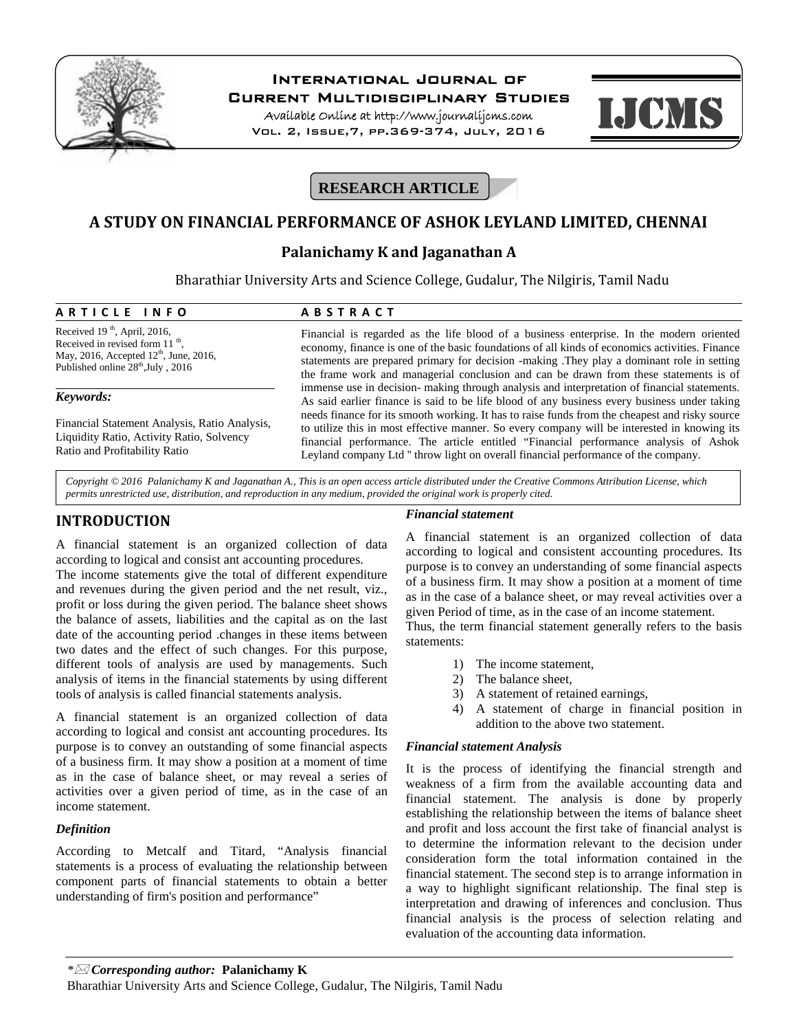

# **International Journal of**

**Current Multidisciplinary Studies**

**Available Online at http://www.journalijcms.com** Vol. 2, Issue,7, pp.369-374, July, 2016



# **RESEARCH ARTICLE**

# **A STUDY ON FINANCIAL PERFORMANCE OF ASHOK LEYLAND LIMITED, CHENNAI**

# **Palanichamy K and Jaganathan A**

Bharathiar University Arts and Science College, Gudalur, The Nilgiris, Tamil Nadu **Palanichamy K and Jaganatha**<br>
Bharathiar University Arts and Science College, Guda<br> **A R T I C L E I N F O A B S T R A C T**<br>
Received 19<sup>th</sup>, April, 2016,<br>
Financial is regarded as the life blood

Received  $19<sup>th</sup>$ , April, 2016, Received in revised form 11<sup>th</sup>, Received in revised form 11 <sup>th</sup>,<br>May, 2016, Accepted 12<sup>th</sup>, June, 2016, Published online  $28<sup>th</sup>$ , July, 2016

### *Keywords:*

Financial Statement Analysis, Ratio Analysis, Liquidity Ratio, Activity Ratio, Solvency Ratio and Profitability Ratio

Financial is regarded as the life blood of a business enterprise. In the modern oriented economy, finance is one of the basic foundations of all kinds of economics activities. Finance statements are prepared primary for decision -making .They play a dominant role in setting the frame work and managerial conclusion and can be drawn from these statements is of immense use in decision- making through analysis and interpretation of financial statements. As said earlier finance is said to be life blood of any business every business under taking needs finance for its smooth working. It has to raise funds from the cheapest and risky source to utilize this in most effective manner. So every company will be interested in knowing its financial performance. The article entitled "Financial performance analysis of Ashok Leyland company Ltd '' throw light on overall financial performance of the company.

*Copyright © 2016 Palanichamy K and Jaganathan A., This is an open access article distributed under the Creative Commons Attribution License, which permits unrestricted use, distribution, and reproduction in any medium, provided the original work is properly cited.*

# **INTRODUCTION**

A financial statement is an organized collection of data according to logical and consist ant accounting procedures.

The income statements give the total of different expenditure and revenues during the given period and the net result, viz., profit or loss during the given period. The balance sheet shows the balance of assets, liabilities and the capital as on the last date of the accounting period .changes in these items between two dates and the effect of such changes. For this purpose, different tools of analysis are used by managements. Such analysis of items in the financial statements by using different tools of analysis is called financial statements analysis.

A financial statement is an organized collection of data according to logical and consist ant accounting procedures. Its purpose is to convey an outstanding of some financial aspects of a business firm. It may show a position at a moment of time as in the case of balance sheet, or may reveal a series of activities over a given period of time, as in the case of an income statement.

# *Definition*

According to Metcalf and Titard, "Analysis financial statements is a process of evaluating the relationship between component parts of financial statements to obtain a better understanding of firm's position and performance"

## *Financial statement*

A financial statement is an organized collection of data according to logical and consistent accounting procedures. Its purpose is to convey an understanding of some financial aspects of a business firm. It may show a position at a moment of time as in the case of a balance sheet, or may reveal activities over a given Period of time, as in the case of an income statement.

Thus, the term financial statement generally refers to the basis statements:

- 1) The income statement,
- 2) The balance sheet,
- 3) A statement of retained earnings,
- 4) A statement of charge in financial position in addition to the above two statement.

#### *Financial statement Analysis*

It is the process of identifying the financial strength and weakness of a firm from the available accounting data and financial statement. The analysis is done by properly establishing the relationship between the items of balance sheet and profit and loss account the first take of financial analyst is to determine the information relevant to the decision under consideration form the total information contained in the financial statement. The second step is to arrange information in a way to highlight significant relationship. The final step is interpretation and drawing of inferences and conclusion. Thus financial analysis is the process of selection relating and evaluation of the accounting data information.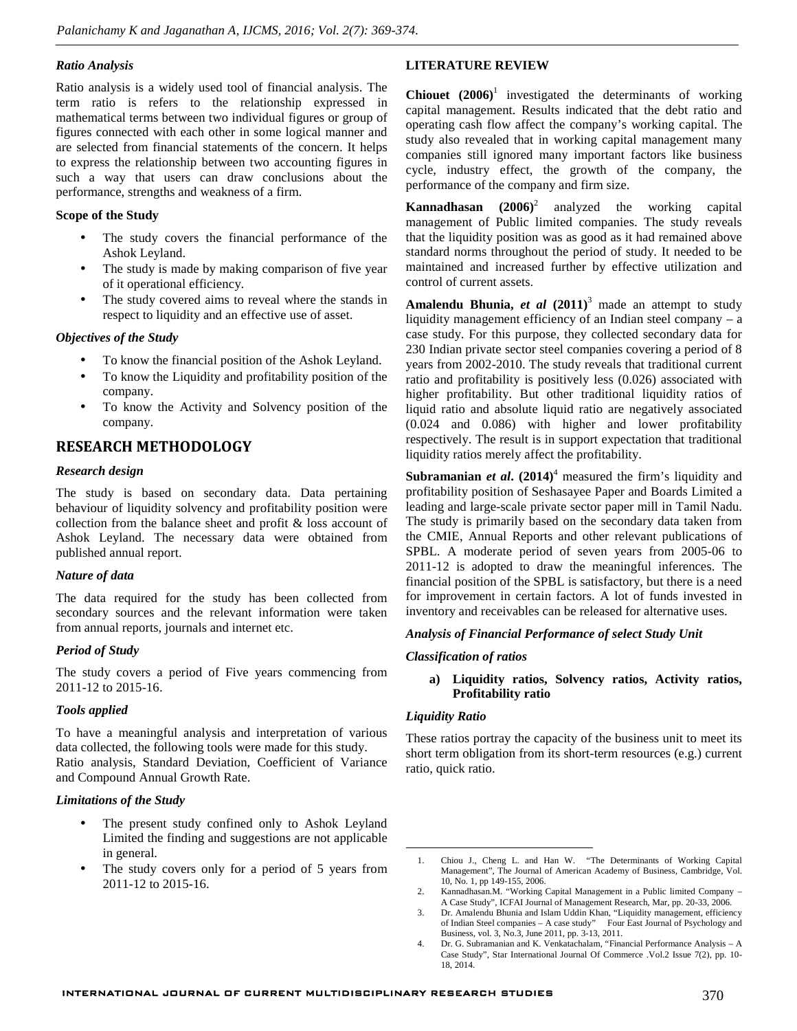#### *Ratio Analysis*

Ratio analysis is a widely used tool of financial analysis. The term ratio is refers to the relationship expressed in mathematical terms between two individual figures or group of figures connected with each other in some logical manner and are selected from financial statements of the concern. It helps to express the relationship between two accounting figures in such a way that users can draw conclusions about the performance, strengths and weakness of a firm.

## **Scope of the Study**

- The study covers the financial performance of the Ashok Leyland.
- The study is made by making comparison of five year of it operational efficiency.
- The study covered aims to reveal where the stands in respect to liquidity and an effective use of asset.

### *Objectives of the Study*

- To know the financial position of the Ashok Leyland.
- To know the Liquidity and profitability position of the company.
- To know the Activity and Solvency position of the company.

# **RESEARCH METHODOLOGY**

# *Research design*

The study is based on secondary data. Data pertaining behaviour of liquidity solvency and profitability position were collection from the balance sheet and profit & loss account of Ashok Leyland. The necessary data were obtained from published annual report.

# *Nature of data*

The data required for the study has been collected from secondary sources and the relevant information were taken from annual reports, journals and internet etc.

# *Period of Study*

The study covers a period of Five years commencing from 2011-12 to 2015-16.

#### *Tools applied*

To have a meaningful analysis and interpretation of various data collected, the following tools were made for this study. Ratio analysis, Standard Deviation, Coefficient of Variance and Compound Annual Growth Rate.

#### *Limitations of the Study*

- The present study confined only to Ashok Leyland Limited the finding and suggestions are not applicable in general.
- The study covers only for a period of 5 years from the study covers only for a period of 5 years from 2011-12 to 2015-16.

# **LITERATURE REVIEW**

**Chiouet (2006)**<sup>1</sup> investigated the determinants of working capital management. Results indicated that the debt ratio and operating cash flow affect the company's working capital. The study also revealed that in working capital management many companies still ignored many important factors like business cycle, industry effect, the growth of the company, the performance of the company and firm size.

**Kannadhasan** (2006)<sup>2</sup> analyzed the working capital management of Public limited companies. The study reveals that the liquidity position was as good as it had remained above standard norms throughout the period of study. It needed to be maintained and increased further by effective utilization and control of current assets.

**Amalendu Bhunia,** *et al* **(2011)**<sup>3</sup> made an attempt to study liquidity management efficiency of an Indian steel company – a case study. For this purpose, they collected secondary data for 230 Indian private sector steel companies covering a period of 8 years from 2002-2010. The study reveals that traditional current ratio and profitability is positively less (0.026) associated with higher profitability. But other traditional liquidity ratios of liquid ratio and absolute liquid ratio are negatively associated (0.024 and 0.086) with higher and lower profitability respectively. The result is in support expectation that traditional liquidity ratios merely affect the profitability.

**Subramanian** *et al***. (2014)**<sup>4</sup> measured the firm's liquidity and profitability position of Seshasayee Paper and Boards Limited a leading and large-scale private sector paper mill in Tamil Nadu. The study is primarily based on the secondary data taken from the CMIE, Annual Reports and other relevant publications of SPBL. A moderate period of seven years from 2005-06 to 2011-12 is adopted to draw the meaningful inferences. The financial position of the SPBL is satisfactory, but there is a need for improvement in certain factors. A lot of funds invested in inventory and receivables can be released for alternative uses.

#### *Analysis of Financial Performance of select Study Unit*

#### *Classification of ratios*

**a) Liquidity ratios, Solvency ratios, Activity ratios, Profitability ratio**

#### *Liquidity Ratio*

These ratios portray the capacity of the business unit to meet its short term obligation from its short-term resources (e.g.) current ratio, quick ratio.

<sup>1.</sup> Chiou J., Cheng L. and Han W. "The Determinants of Working Capital Management", The Journal of American Academy of Business, Cambridge, Vol. 10, No. 1, pp 149-155, 2006.

<sup>2.</sup> Kannadhasan.M. "Working Capital Management in a Public limited Company – A Case Study", ICFAI Journal of Management Research, Mar, pp. 20-33, 2006.

<sup>3.</sup> Dr. Amalendu Bhunia and Islam Uddin Khan, "Liquidity management, efficiency of Indian Steel companies – A case study" Four East Journal of Psychology and Business, vol. 3, No.3, June 2011, pp. 3-13, 2011.

<sup>4.</sup> Dr. G. Subramanian and K. Venkatachalam, "Financial Performance Analysis – A Case Study", Star International Journal Of Commerce .Vol.2 Issue 7(2), pp. 10- 18, 2014.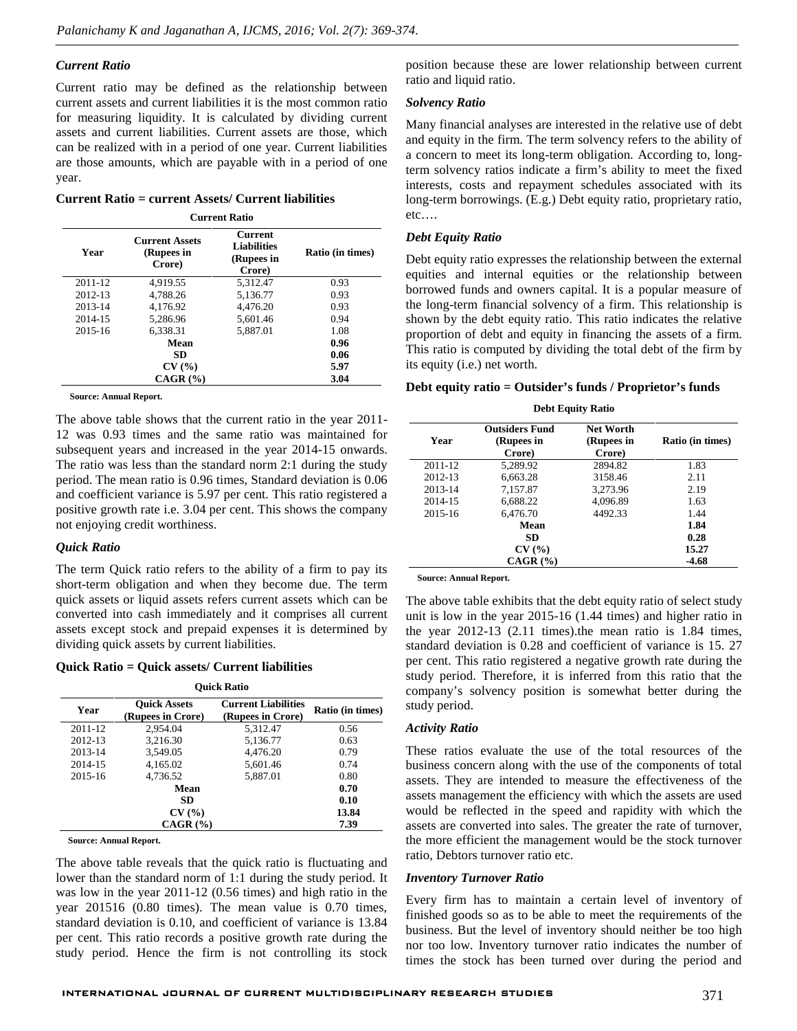#### *Current Ratio*

Current ratio may be defined as the relationship between current assets and current liabilities it is the most common ratio for measuring liquidity. It is calculated by dividing current assets and current liabilities. Current assets are those, which can be realized with in a period of one year. Current liabilities are those amounts, which are payable with in a period of one year.

**Current Ratio = current Assets/ Current liabilities**

**Current Ratio**

| Year    | <b>Current Assets</b><br>(Rupees in<br>Crore) | Current<br><b>Liabilities</b><br>(Rupees in<br>Crore) | Ratio (in times) |
|---------|-----------------------------------------------|-------------------------------------------------------|------------------|
| 2011-12 | 4,919.55                                      | 5.312.47                                              | 0.93             |
| 2012-13 | 4,788.26                                      | 5,136.77                                              | 0.93             |
| 2013-14 | 4,176.92                                      | 4,476.20                                              | 0.93             |
| 2014-15 | 5,286.96                                      | 5,601.46                                              | 0.94             |
| 2015-16 | 6.338.31                                      | 5,887.01                                              | 1.08             |
|         | Mean                                          |                                                       | 0.96             |
|         | <b>SD</b>                                     |                                                       | 0.06             |
|         | CV(%)                                         |                                                       | 5.97             |
|         | $CAGR$ $(\% )$                                |                                                       | 3.04             |

**Source: Annual Report.**

The above table shows that the current ratio in the year 2011- 12 was 0.93 times and the same ratio was maintained for subsequent years and increased in the year 2014-15 onwards. The ratio was less than the standard norm 2:1 during the study period. The mean ratio is 0.96 times, Standard deviation is 0.06 and coefficient variance is 5.97 per cent. This ratio registered a positive growth rate i.e. 3.04 per cent. This shows the company not enjoying credit worthiness.

#### *Quick Ratio*

The term Quick ratio refers to the ability of a firm to pay its short-term obligation and when they become due. The term quick assets or liquid assets refers current assets which can be converted into cash immediately and it comprises all current assets except stock and prepaid expenses it is determined by dividing quick assets by current liabilities.

**Quick Ratio = Quick assets/ Current liabilities**

| <b>Ouick Ratio</b> |                                          |                                                 |                  |
|--------------------|------------------------------------------|-------------------------------------------------|------------------|
| Year               | <b>Ouick Assets</b><br>(Rupees in Crore) | <b>Current Liabilities</b><br>(Rupees in Crore) | Ratio (in times) |
| 2011-12            | 2,954.04                                 | 5,312.47                                        | 0.56             |
| 2012-13            | 3,216.30                                 | 5,136.77                                        | 0.63             |
| 2013-14            | 3.549.05                                 | 4.476.20                                        | 0.79             |
| 2014-15            | 4,165.02                                 | 5,601.46                                        | 0.74             |
| 2015-16            | 4,736.52                                 | 5,887.01                                        | 0.80             |
|                    | Mean                                     |                                                 | 0.70             |
|                    | <b>SD</b>                                |                                                 | 0.10             |
|                    | CV(%)                                    |                                                 | 13.84            |
|                    | $CAGR$ $(\% )$                           |                                                 | 7.39             |

**Source: Annual Report.**

The above table reveals that the quick ratio is fluctuating and lower than the standard norm of 1:1 during the study period. It was low in the year 2011-12 (0.56 times) and high ratio in the year 201516 (0.80 times). The mean value is 0.70 times, standard deviation is 0.10, and coefficient of variance is 13.84 per cent. This ratio records a positive growth rate during the study period. Hence the firm is not controlling its stock

position because these are lower relationship between current ratio and liquid ratio.

#### *Solvency Ratio*

Many financial analyses are interested in the relative use of debt and equity in the firm. The term solvency refers to the ability of a concern to meet its long-term obligation. According to, longterm solvency ratios indicate a firm's ability to meet the fixed interests, costs and repayment schedules associated with its long-term borrowings. (E.g.) Debt equity ratio, proprietary ratio, etc….

#### *Debt Equity Ratio*

Debt equity ratio expresses the relationship between the external equities and internal equities or the relationship between borrowed funds and owners capital. It is a popular measure of the long-term financial solvency of a firm. This relationship is shown by the debt equity ratio. This ratio indicates the relative proportion of debt and equity in financing the assets of a firm. This ratio is computed by dividing the total debt of the firm by its equity (i.e.) net worth.

#### **Debt equity ratio = Outsider's funds / Proprietor's funds**

**Debt Equity Ratio**

| Year    | <b>Outsiders Fund</b><br>(Rupees in<br>Crore) | <b>Net Worth</b><br>(Rupees in<br>Crore) | <b>Ratio (in times)</b> |
|---------|-----------------------------------------------|------------------------------------------|-------------------------|
| 2011-12 | 5.289.92                                      | 2894.82                                  | 1.83                    |
| 2012-13 | 6,663.28                                      | 3158.46                                  | 2.11                    |
| 2013-14 | 7,157.87                                      | 3,273.96                                 | 2.19                    |
| 2014-15 | 6,688.22                                      | 4,096.89                                 | 1.63                    |
| 2015-16 | 6,476.70                                      | 4492.33                                  | 1.44                    |
|         | Mean                                          |                                          | 1.84                    |
|         | SD                                            |                                          | 0.28                    |
|         | CV(%)                                         |                                          | 15.27                   |
|         | $CAGR$ $(\% )$                                |                                          | $-4.68$                 |

**Source: Annual Report.**

The above table exhibits that the debt equity ratio of select study unit is low in the year 2015-16 (1.44 times) and higher ratio in the year 2012-13 (2.11 times).the mean ratio is 1.84 times, standard deviation is 0.28 and coefficient of variance is 15. 27 per cent. This ratio registered a negative growth rate during the study period. Therefore, it is inferred from this ratio that the company's solvency position is somewhat better during the study period.

#### *Activity Ratio*

These ratios evaluate the use of the total resources of the business concern along with the use of the components of total assets. They are intended to measure the effectiveness of the assets management the efficiency with which the assets are used would be reflected in the speed and rapidity with which the assets are converted into sales. The greater the rate of turnover, the more efficient the management would be the stock turnover ratio, Debtors turnover ratio etc.

#### *Inventory Turnover Ratio*

Every firm has to maintain a certain level of inventory of finished goods so as to be able to meet the requirements of the business. But the level of inventory should neither be too high nor too low. Inventory turnover ratio indicates the number of times the stock has been turned over during the period and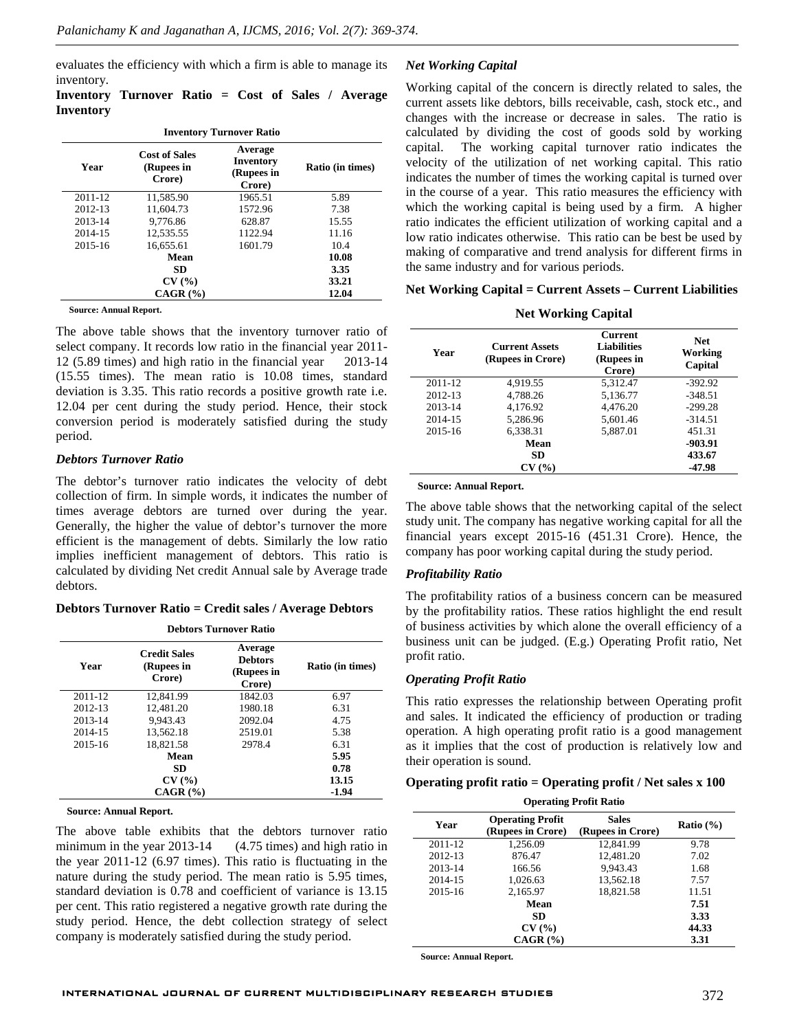evaluates the efficiency with which a firm is able to manage its inventory.

# **Inventory Turnover Ratio = Cost of Sales / Average Inventory**

| <b>Inventory Turnover Ratio</b> |                                              |                                              |                  |
|---------------------------------|----------------------------------------------|----------------------------------------------|------------------|
| Year                            | <b>Cost of Sales</b><br>(Rupees in<br>Crore) | Average<br>Inventory<br>(Rupees in<br>Crore) | Ratio (in times) |
| 2011-12                         | 11.585.90                                    | 1965.51                                      | 5.89             |
| 2012-13                         | 11.604.73                                    | 1572.96                                      | 7.38             |
| 2013-14                         | 9.776.86                                     | 628.87                                       | 15.55            |
| 2014-15                         | 12.535.55                                    | 1122.94                                      | 11.16            |
| 2015-16                         | 16.655.61                                    | 1601.79                                      | 10.4             |
|                                 | Mean                                         |                                              | 10.08            |
|                                 | SD                                           |                                              | 3.35             |
|                                 | CV(%)                                        |                                              | 33.21            |
|                                 | $CAGR$ $(\% )$                               |                                              | 12.04            |

**Source: Annual Report.**

The above table shows that the inventory turnover ratio of select company. It records low ratio in the financial year 2011- 12 (5.89 times) and high ratio in the financial year 2013-14 (15.55 times). The mean ratio is 10.08 times, standard deviation is 3.35. This ratio records a positive growth rate i.e. 12.04 per cent during the study period. Hence, their stock conversion period is moderately satisfied during the study period.

#### *Debtors Turnover Ratio*

The debtor's turnover ratio indicates the velocity of debt collection of firm. In simple words, it indicates the number of times average debtors are turned over during the year. Generally, the higher the value of debtor's turnover the more efficient is the management of debts. Similarly the low ratio implies inefficient management of debtors. This ratio is calculated by dividing Net credit Annual sale by Average trade debtors.

#### **Debtors Turnover Ratio = Credit sales / Average Debtors**

**Debtors Turnover Ratio**

| Year    | <b>Credit Sales</b><br>(Rupees in<br>Crore) | Average<br><b>Debtors</b><br>(Rupees in<br>Crore) | <b>Ratio (in times)</b> |
|---------|---------------------------------------------|---------------------------------------------------|-------------------------|
| 2011-12 | 12,841.99                                   | 1842.03                                           | 6.97                    |
| 2012-13 | 12.481.20                                   | 1980.18                                           | 6.31                    |
| 2013-14 | 9.943.43                                    | 2092.04                                           | 4.75                    |
| 2014-15 | 13.562.18                                   | 2519.01                                           | 5.38                    |
| 2015-16 | 18,821.58                                   | 2978.4                                            | 6.31                    |
|         | Mean                                        |                                                   | 5.95                    |
|         | SD.                                         |                                                   | 0.78                    |
|         | CV(%)                                       |                                                   | 13.15                   |
|         | $CAGR$ $(\% )$                              |                                                   | $-1.94$                 |

**Source: Annual Report.**

The above table exhibits that the debtors turnover ratio minimum in the year 2013-14 (4.75 times) and high ratio in the year 2011-12 (6.97 times). This ratio is fluctuating in the nature during the study period. The mean ratio is 5.95 times, standard deviation is 0.78 and coefficient of variance is 13.15 per cent. This ratio registered a negative growth rate during the study period. Hence, the debt collection strategy of select company is moderately satisfied during the study period.

#### *Net Working Capital*

Working capital of the concern is directly related to sales, the current assets like debtors, bills receivable, cash, stock etc., and changes with the increase or decrease in sales. The ratio is calculated by dividing the cost of goods sold by working capital. The working capital turnover ratio indicates the velocity of the utilization of net working capital. This ratio indicates the number of times the working capital is turned over in the course of a year. This ratio measures the efficiency with which the working capital is being used by a firm. A higher ratio indicates the efficient utilization of working capital and a low ratio indicates otherwise. This ratio can be best be used by making of comparative and trend analysis for different firms in the same industry and for various periods.

#### **Net Working Capital = Current Assets – Current Liabilities**

**Net Working Capital**

| Year    | <b>Current Assets</b><br>(Rupees in Crore) | <b>Current</b><br><b>Liabilities</b><br>(Rupees in<br>Crore) | <b>Net</b><br>Working<br>Capital |
|---------|--------------------------------------------|--------------------------------------------------------------|----------------------------------|
| 2011-12 | 4.919.55                                   | 5,312.47                                                     | $-392.92$                        |
| 2012-13 | 4.788.26                                   | 5,136.77                                                     | $-348.51$                        |
| 2013-14 | 4.176.92                                   | 4.476.20                                                     | $-299.28$                        |
| 2014-15 | 5.286.96                                   | 5.601.46                                                     | $-314.51$                        |
| 2015-16 | 6.338.31                                   | 5.887.01                                                     | 451.31                           |
|         | Mean                                       |                                                              | -903.91                          |
|         | <b>SD</b>                                  |                                                              | 433.67                           |
|         | CV(%)                                      |                                                              | -47.98                           |

**Source: Annual Report.**

The above table shows that the networking capital of the select study unit. The company has negative working capital for all the financial years except 2015-16 (451.31 Crore). Hence, the company has poor working capital during the study period.

#### *Profitability Ratio*

The profitability ratios of a business concern can be measured by the profitability ratios. These ratios highlight the end result of business activities by which alone the overall efficiency of a business unit can be judged. (E.g.) Operating Profit ratio, Net profit ratio.

#### *Operating Profit Ratio*

This ratio expresses the relationship between Operating profit and sales. It indicated the efficiency of production or trading operation. A high operating profit ratio is a good management as it implies that the cost of production is relatively low and their operation is sound.

#### **Operating profit ratio = Operating profit / Net sales x 100**

| <b>Operating Profit Ratio</b> |                                              |                                   |               |
|-------------------------------|----------------------------------------------|-----------------------------------|---------------|
| Year                          | <b>Operating Profit</b><br>(Rupees in Crore) | <b>Sales</b><br>(Rupees in Crore) | Ratio $(\% )$ |
| 2011-12                       | 1.256.09                                     | 12.841.99                         | 9.78          |
| 2012-13                       | 876.47                                       | 12.481.20                         | 7.02          |
| 2013-14                       | 166.56                                       | 9.943.43                          | 1.68          |
| 2014-15                       | 1,026.63                                     | 13,562.18                         | 7.57          |
| 2015-16                       | 2,165.97                                     | 18.821.58                         | 11.51         |
|                               | Mean                                         |                                   | 7.51          |
|                               | <b>SD</b>                                    |                                   | 3.33          |
|                               | CV(%)                                        |                                   | 44.33         |
|                               | $CAGR$ $(\% )$                               |                                   | 3.31          |

**Source: Annual Report.**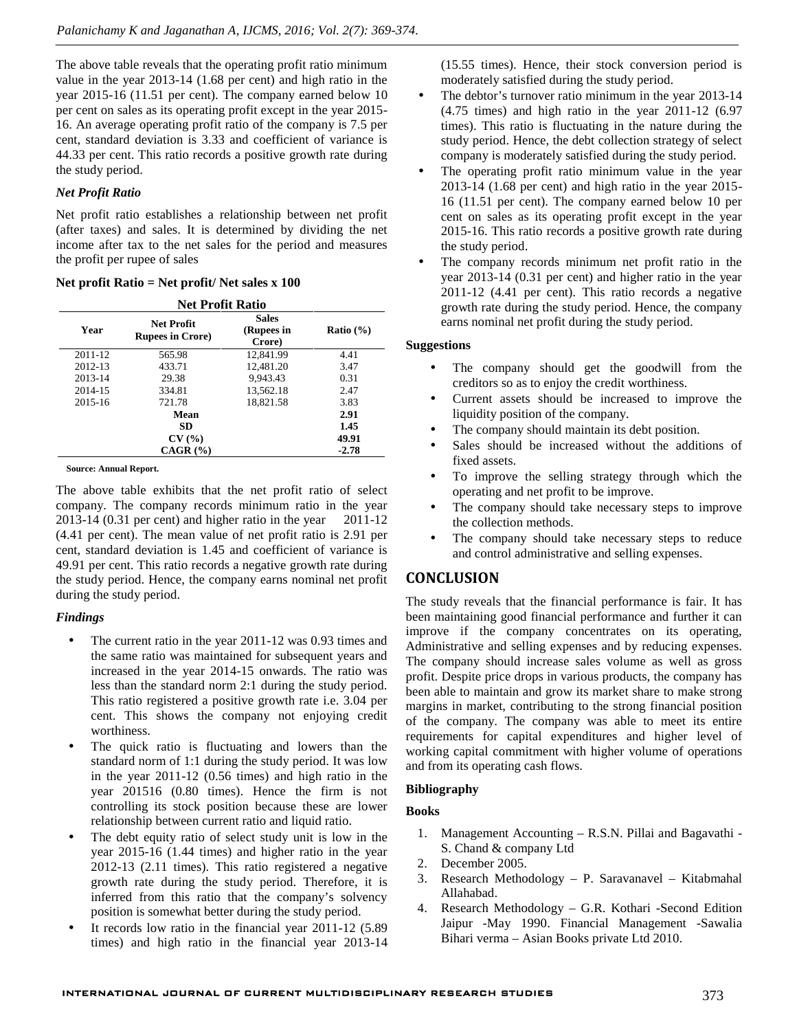The above table reveals that the operating profit ratio minimum value in the year 2013-14 (1.68 per cent) and high ratio in the year 2015-16 (11.51 per cent). The company earned below 10 per cent on sales as its operating profit except in the year 2015- 16. An average operating profit ratio of the company is 7.5 per cent, standard deviation is 3.33 and coefficient of variance is 44.33 per cent. This ratio records a positive growth rate during the study period.

# *Net Profit Ratio*

Net profit ratio establishes a relationship between net profit (after taxes) and sales. It is determined by dividing the net income after tax to the net sales for the period and measures the profit per rupee of sales

### **Net profit Ratio = Net profit/ Net sales x 100**

#### **Net Profit Ratio**

| Year    | <b>Net Profit</b><br><b>Rupees in Crore</b> ) | <b>Sales</b><br>(Rupees in<br>Crore) | Ratio $(\% )$ |
|---------|-----------------------------------------------|--------------------------------------|---------------|
| 2011-12 | 565.98                                        | 12.841.99                            | 4.41          |
| 2012-13 | 433.71                                        | 12,481.20                            | 3.47          |
| 2013-14 | 29.38                                         | 9.943.43                             | 0.31          |
| 2014-15 | 334.81                                        | 13.562.18                            | 2.47          |
| 2015-16 | 721.78                                        | 18.821.58                            | 3.83          |
|         | Mean                                          |                                      | 2.91          |
|         | SD.                                           |                                      | 1.45          |
|         | CV(%)                                         |                                      | 49.91         |
|         | $CAGR$ $(\% )$                                |                                      | $-2.78$       |

**Source: Annual Report.**

The above table exhibits that the net profit ratio of select company. The company records minimum ratio in the year 2013-14 (0.31 per cent) and higher ratio in the year 2011-12 (4.41 per cent). The mean value of net profit ratio is 2.91 per cent, standard deviation is 1.45 and coefficient of variance is 49.91 per cent. This ratio records a negative growth rate during the study period. Hence, the company earns nominal net profit during the study period.

# *Findings*

- The current ratio in the year 2011-12 was 0.93 times and the same ratio was maintained for subsequent years and increased in the year 2014-15 onwards. The ratio was less than the standard norm 2:1 during the study period. This ratio registered a positive growth rate i.e. 3.04 per cent. This shows the company not enjoying credit worthiness.
- The quick ratio is fluctuating and lowers than the standard norm of 1:1 during the study period. It was low in the year 2011-12 (0.56 times) and high ratio in the year 201516 (0.80 times). Hence the firm is not controlling its stock position because these are lower relationship between current ratio and liquid ratio.
- The debt equity ratio of select study unit is low in the year 2015-16 (1.44 times) and higher ratio in the year 2012-13 (2.11 times). This ratio registered a negative growth rate during the study period. Therefore, it is inferred from this ratio that the company's solvency position is somewhat better during the study period.
- It records low ratio in the financial year 2011-12 (5.89 times) and high ratio in the financial year 2013-14

(15.55 times). Hence, their stock conversion period is moderately satisfied during the study period.

- The debtor's turnover ratio minimum in the year 2013-14  $(4.75 \text{ times})$  and high ratio in the year  $2011-12$   $(6.97)$ times). This ratio is fluctuating in the nature during the study period. Hence, the debt collection strategy of select company is moderately satisfied during the study period.
- The operating profit ratio minimum value in the year 2013-14 (1.68 per cent) and high ratio in the year 2015- 16 (11.51 per cent). The company earned below 10 per cent on sales as its operating profit except in the year 2015-16. This ratio records a positive growth rate during the study period.
- The company records minimum net profit ratio in the year 2013-14 (0.31 per cent) and higher ratio in the year 2011-12 (4.41 per cent). This ratio records a negative growth rate during the study period. Hence, the company earns nominal net profit during the study period.

# **Suggestions**

- The company should get the goodwill from the creditors so as to enjoy the credit worthiness.
- Current assets should be increased to improve the liquidity position of the company.
- The company should maintain its debt position.
- Sales should be increased without the additions of fixed assets.
- To improve the selling strategy through which the operating and net profit to be improve.
- The company should take necessary steps to improve the collection methods.
- The company should take necessary steps to reduce and control administrative and selling expenses.

# **CONCLUSION**

The study reveals that the financial performance is fair. It has been maintaining good financial performance and further it can improve if the company concentrates on its operating, Administrative and selling expenses and by reducing expenses. The company should increase sales volume as well as gross profit. Despite price drops in various products, the company has been able to maintain and grow its market share to make strong margins in market, contributing to the strong financial position of the company. The company was able to meet its entire requirements for capital expenditures and higher level of working capital commitment with higher volume of operations and from its operating cash flows.

# **Bibliography**

# **Books**

- 1. Management Accounting R.S.N. Pillai and Bagavathi S. Chand & company Ltd
- 2. December 2005.
- 3. Research Methodology P. Saravanavel Kitabmahal Allahabad.
- 4. Research Methodology G.R. Kothari -Second Edition Jaipur -May 1990. Financial Management -Sawalia Bihari verma – Asian Books private Ltd 2010.